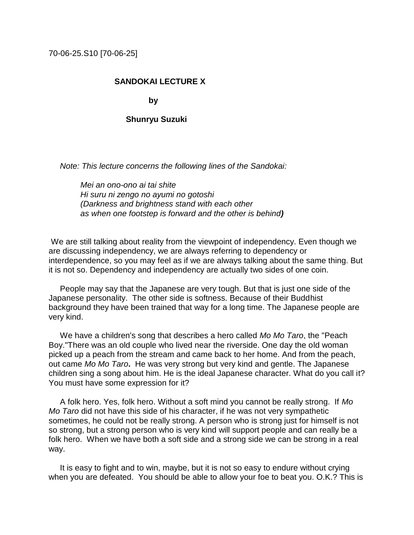70-06-25.S10 [70-06-25]

## **SANDOKAI LECTURE X**

**by** by the box  $\mathbf{b}$ 

## **Shunryu Suzuki**

 *Note: This lecture concerns the following lines of the Sandokai:*

 *Mei an ono-ono ai tai shite Hi suru ni zengo no ayumi no gotoshi (Darkness and brightness stand with each other as when one footstep is forward and the other is behind)*

We are still talking about reality from the viewpoint of independency. Even though we are discussing independency, we are always referring to dependency or interdependence, so you may feel as if we are always talking about the same thing. But it is not so. Dependency and independency are actually two sides of one coin.

 People may say that the Japanese are very tough. But that is just one side of the Japanese personality. The other side is softness. Because of their Buddhist background they have been trained that way for a long time. The Japanese people are very kind.

 We have a children's song that describes a hero called *Mo Mo Taro*, the "Peach Boy."There was an old couple who lived near the riverside. One day the old woman picked up a peach from the stream and came back to her home. And from the peach, out came *Mo Mo Taro***.** He was very strong but very kind and gentle. The Japanese children sing a song about him. He is the ideal Japanese character. What do you call it? You must have some expression for it?

 A folk hero. Yes, folk hero. Without a soft mind you cannot be really strong. If *Mo Mo Taro* did not have this side of his character, if he was not very sympathetic sometimes, he could not be really strong. A person who is strong just for himself is not so strong, but a strong person who is very kind will support people and can really be a folk hero. When we have both a soft side and a strong side we can be strong in a real way.

 It is easy to fight and to win, maybe, but it is not so easy to endure without crying when you are defeated. You should be able to allow your foe to beat you. O.K.? This is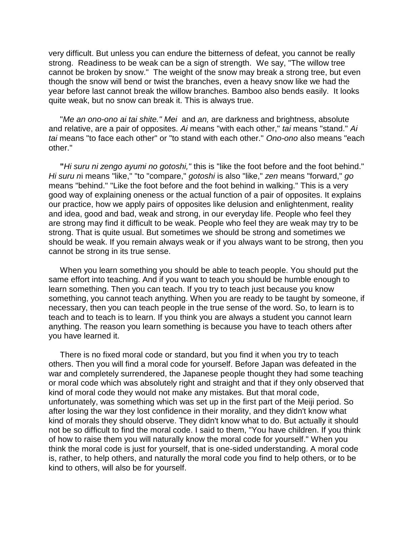very difficult. But unless you can endure the bitterness of defeat, you cannot be really strong. Readiness to be weak can be a sign of strength. We say, "The willow tree cannot be broken by snow." The weight of the snow may break a strong tree, but even though the snow will bend or twist the branches, even a heavy snow like we had the year before last cannot break the willow branches. Bamboo also bends easily. It looks quite weak, but no snow can break it. This is always true.

 "*Me an ono-ono ai tai shite." Mei* and *an,* are darkness and brightness, absolute and relative, are a pair of opposites. *Ai* means "with each other," *tai* means "stand." *Ai tai* means "to face each other" or "to stand with each other." *Ono-ono* also means "each other."

 **"***Hi suru ni zengo ayumi no gotoshi,"* this is "like the foot before and the foot behind." *Hi suru n*i means "like," "to "compare," *gotoshi* is also "like," *zen* means "forward," *go* means "behind." "Like the foot before and the foot behind in walking." This is a very good way of explaining oneness or the actual function of a pair of opposites. It explains our practice, how we apply pairs of opposites like delusion and enlightenment, reality and idea, good and bad, weak and strong, in our everyday life. People who feel they are strong may find it difficult to be weak. People who feel they are weak may try to be strong. That is quite usual. But sometimes we should be strong and sometimes we should be weak. If you remain always weak or if you always want to be strong, then you cannot be strong in its true sense.

 When you learn something you should be able to teach people. You should put the same effort into teaching. And if you want to teach you should be humble enough to learn something. Then you can teach. If you try to teach just because you know something, you cannot teach anything. When you are ready to be taught by someone, if necessary, then you can teach people in the true sense of the word. So, to learn is to teach and to teach is to learn. If you think you are always a student you cannot learn anything. The reason you learn something is because you have to teach others after you have learned it.

 There is no fixed moral code or standard, but you find it when you try to teach others. Then you will find a moral code for yourself. Before Japan was defeated in the war and completely surrendered, the Japanese people thought they had some teaching or moral code which was absolutely right and straight and that if they only observed that kind of moral code they would not make any mistakes. But that moral code, unfortunately, was something which was set up in the first part of the Meiji period. So after losing the war they lost confidence in their morality, and they didn't know what kind of morals they should observe. They didn't know what to do. But actually it should not be so difficult to find the moral code. I said to them, "You have children. If you think of how to raise them you will naturally know the moral code for yourself." When you think the moral code is just for yourself, that is one-sided understanding. A moral code is, rather, to help others, and naturally the moral code you find to help others, or to be kind to others, will also be for yourself.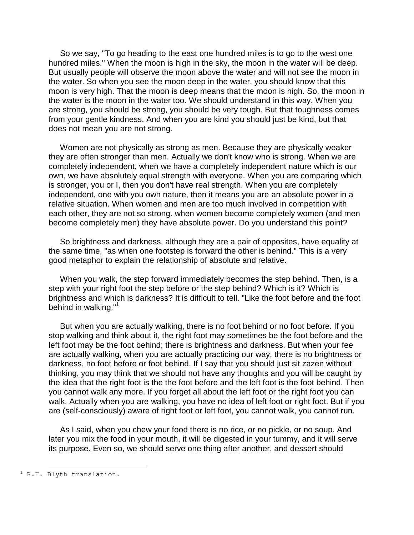So we say, "To go heading to the east one hundred miles is to go to the west one hundred miles." When the moon is high in the sky, the moon in the water will be deep. But usually people will observe the moon above the water and will not see the moon in the water. So when you see the moon deep in the water, you should know that this moon is very high. That the moon is deep means that the moon is high. So, the moon in the water is the moon in the water too. We should understand in this way. When you are strong, you should be strong, you should be very tough. But that toughness comes from your gentle kindness. And when you are kind you should just be kind, but that does not mean you are not strong.

 Women are not physically as strong as men. Because they are physically weaker they are often stronger than men. Actually we don't know who is strong. When we are completely independent, when we have a completely independent nature which is our own, we have absolutely equal strength with everyone. When you are comparing which is stronger, you or I, then you don't have real strength. When you are completely independent, one with you own nature, then it means you are an absolute power in a relative situation. When women and men are too much involved in competition with each other, they are not so strong. when women become completely women (and men become completely men) they have absolute power. Do you understand this point?

 So brightness and darkness, although they are a pair of opposites, have equality at the same time, "as when one footstep is forward the other is behind." This is a very good metaphor to explain the relationship of absolute and relative.

 When you walk, the step forward immediately becomes the step behind. Then, is a step with your right foot the step before or the step behind? Which is it? Which is brightness and which is darkness? It is difficult to tell. "Like the foot before and the foot behind in walking."<sup>1</sup>

 But when you are actually walking, there is no foot behind or no foot before. If you stop walking and think about it, the right foot may sometimes be the foot before and the left foot may be the foot behind; there is brightness and darkness. But when your fee are actually walking, when you are actually practicing our way, there is no brightness or darkness, no foot before or foot behind. If I say that you should just sit zazen without thinking, you may think that we should not have any thoughts and you will be caught by the idea that the right foot is the the foot before and the left foot is the foot behind. Then you cannot walk any more. If you forget all about the left foot or the right foot you can walk. Actually when you are walking, you have no idea of left foot or right foot. But if you are (self-consciously) aware of right foot or left foot, you cannot walk, you cannot run.

 As I said, when you chew your food there is no rice, or no pickle, or no soup. And later you mix the food in your mouth, it will be digested in your tummy, and it will serve its purpose. Even so, we should serve one thing after another, and dessert should

÷.

 $1 R.H.$  Blyth translation.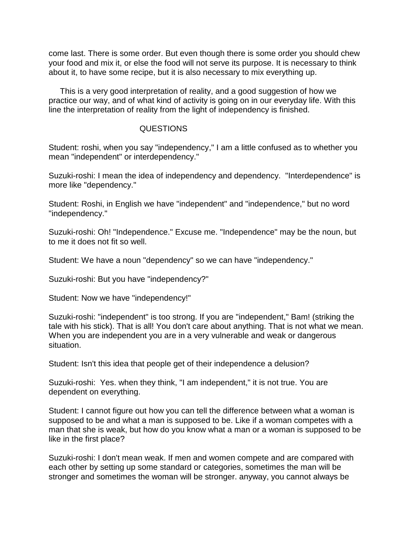come last. There is some order. But even though there is some order you should chew your food and mix it, or else the food will not serve its purpose. It is necessary to think about it, to have some recipe, but it is also necessary to mix everything up.

 This is a very good interpretation of reality, and a good suggestion of how we practice our way, and of what kind of activity is going on in our everyday life. With this line the interpretation of reality from the light of independency is finished.

## QUESTIONS

Student: roshi, when you say "independency," I am a little confused as to whether you mean "independent" or interdependency."

Suzuki-roshi: I mean the idea of independency and dependency. "Interdependence" is more like "dependency."

Student: Roshi, in English we have "independent" and "independence," but no word "independency."

Suzuki-roshi: Oh! "Independence." Excuse me. "Independence" may be the noun, but to me it does not fit so well.

Student: We have a noun "dependency" so we can have "independency."

Suzuki-roshi: But you have "independency?"

Student: Now we have "independency!"

Suzuki-roshi: "independent" is too strong. If you are "independent," Bam! (striking the tale with his stick). That is all! You don't care about anything. That is not what we mean. When you are independent you are in a very vulnerable and weak or dangerous situation.

Student: Isn't this idea that people get of their independence a delusion?

Suzuki-roshi: Yes. when they think, "I am independent," it is not true. You are dependent on everything.

Student: I cannot figure out how you can tell the difference between what a woman is supposed to be and what a man is supposed to be. Like if a woman competes with a man that she is weak, but how do you know what a man or a woman is supposed to be like in the first place?

Suzuki-roshi: I don't mean weak. If men and women compete and are compared with each other by setting up some standard or categories, sometimes the man will be stronger and sometimes the woman will be stronger. anyway, you cannot always be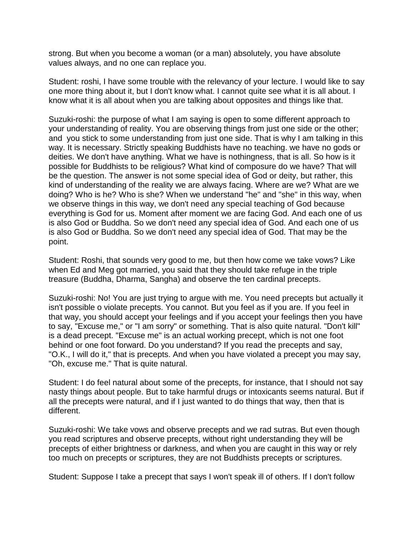strong. But when you become a woman (or a man) absolutely, you have absolute values always, and no one can replace you.

Student: roshi, I have some trouble with the relevancy of your lecture. I would like to say one more thing about it, but I don't know what. I cannot quite see what it is all about. I know what it is all about when you are talking about opposites and things like that.

Suzuki-roshi: the purpose of what I am saying is open to some different approach to your understanding of reality. You are observing things from just one side or the other; and you stick to some understanding from just one side. That is why I am talking in this way. It is necessary. Strictly speaking Buddhists have no teaching. we have no gods or deities. We don't have anything. What we have is nothingness, that is all. So how is it possible for Buddhists to be religious? What kind of composure do we have? That will be the question. The answer is not some special idea of God or deity, but rather, this kind of understanding of the reality we are always facing. Where are we? What are we doing? Who is he? Who is she? When we understand "he" and "she" in this way, when we observe things in this way, we don't need any special teaching of God because everything is God for us. Moment after moment we are facing God. And each one of us is also God or Buddha. So we don't need any special idea of God. And each one of us is also God or Buddha. So we don't need any special idea of God. That may be the point.

Student: Roshi, that sounds very good to me, but then how come we take vows? Like when Ed and Meg got married, you said that they should take refuge in the triple treasure (Buddha, Dharma, Sangha) and observe the ten cardinal precepts.

Suzuki-roshi: No! You are just trying to argue with me. You need precepts but actually it isn't possible o violate precepts. You cannot. But you feel as if you are. If you feel in that way, you should accept your feelings and if you accept your feelings then you have to say, "Excuse me," or "I am sorry" or something. That is also quite natural. "Don't kill" is a dead precept. "Excuse me" is an actual working precept, which is not one foot behind or one foot forward. Do you understand? If you read the precepts and say, "O.K., I will do it," that is precepts. And when you have violated a precept you may say, "Oh, excuse me." That is quite natural.

Student: I do feel natural about some of the precepts, for instance, that I should not say nasty things about people. But to take harmful drugs or intoxicants seems natural. But if all the precepts were natural, and if I just wanted to do things that way, then that is different.

Suzuki-roshi: We take vows and observe precepts and we rad sutras. But even though you read scriptures and observe precepts, without right understanding they will be precepts of either brightness or darkness, and when you are caught in this way or rely too much on precepts or scriptures, they are not Buddhists precepts or scriptures.

Student: Suppose I take a precept that says I won't speak ill of others. If I don't follow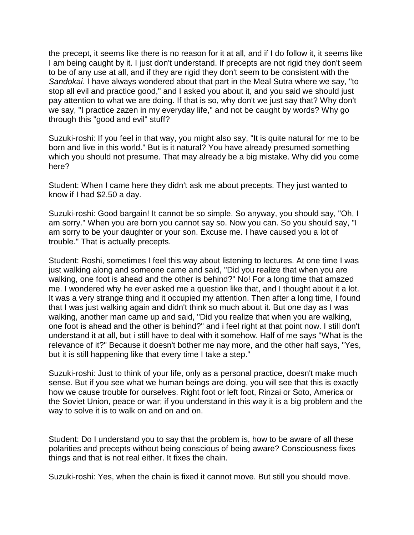the precept, it seems like there is no reason for it at all, and if I do follow it, it seems like I am being caught by it. I just don't understand. If precepts are not rigid they don't seem to be of any use at all, and if they are rigid they don't seem to be consistent with the *Sandokai*. I have always wondered about that part in the Meal Sutra where we say, "to stop all evil and practice good," and I asked you about it, and you said we should just pay attention to what we are doing. If that is so, why don't we just say that? Why don't we say, "I practice zazen in my everyday life," and not be caught by words? Why go through this "good and evil" stuff?

Suzuki-roshi: If you feel in that way, you might also say, "It is quite natural for me to be born and live in this world." But is it natural? You have already presumed something which you should not presume. That may already be a big mistake. Why did you come here?

Student: When I came here they didn't ask me about precepts. They just wanted to know if I had \$2.50 a day.

Suzuki-roshi: Good bargain! It cannot be so simple. So anyway, you should say, "Oh, I am sorry." When you are born you cannot say so. Now you can. So you should say, "I am sorry to be your daughter or your son. Excuse me. I have caused you a lot of trouble." That is actually precepts.

Student: Roshi, sometimes I feel this way about listening to lectures. At one time I was just walking along and someone came and said, "Did you realize that when you are walking, one foot is ahead and the other is behind?" No! For a long time that amazed me. I wondered why he ever asked me a question like that, and I thought about it a lot. It was a very strange thing and it occupied my attention. Then after a long time, I found that I was just walking again and didn't think so much about it. But one day as I was walking, another man came up and said, "Did you realize that when you are walking, one foot is ahead and the other is behind?" and i feel right at that point now. I still don't understand it at all, but i still have to deal with it somehow. Half of me says "What is the relevance of it?" Because it doesn't bother me nay more, and the other half says, "Yes, but it is still happening like that every time I take a step."

Suzuki-roshi: Just to think of your life, only as a personal practice, doesn't make much sense. But if you see what we human beings are doing, you will see that this is exactly how we cause trouble for ourselves. Right foot or left foot, Rinzai or Soto, America or the Soviet Union, peace or war; if you understand in this way it is a big problem and the way to solve it is to walk on and on and on.

Student: Do I understand you to say that the problem is, how to be aware of all these polarities and precepts without being conscious of being aware? Consciousness fixes things and that is not real either. It fixes the chain.

Suzuki-roshi: Yes, when the chain is fixed it cannot move. But still you should move.